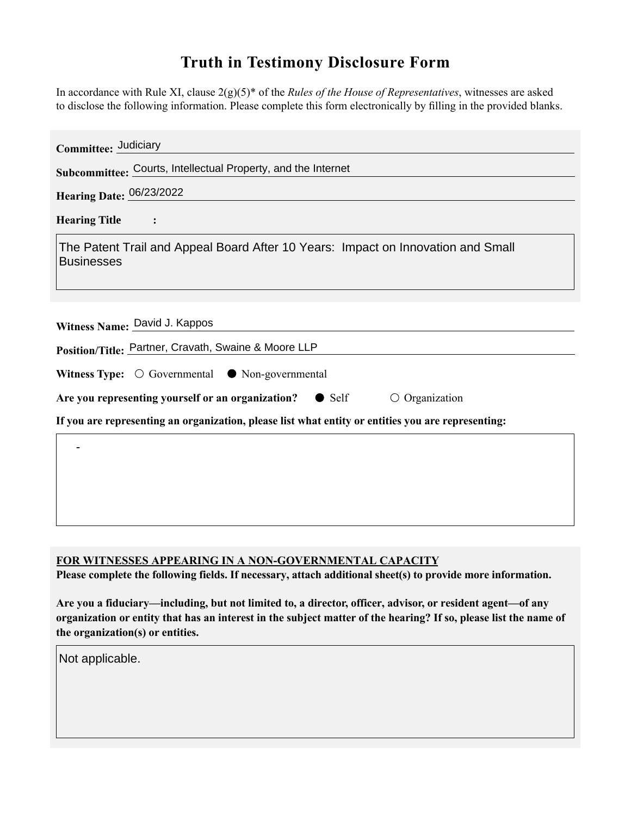## **Truth in Testimony Disclosure Form**

In accordance with Rule XI, clause 2(g)(5)\* of the *Rules of the House of Representatives*, witnesses are asked to disclose the following information. Please complete this form electronically by filling in the provided blanks.

| Committee: Judiciary                                                                                  |
|-------------------------------------------------------------------------------------------------------|
| Subcommittee: Courts, Intellectual Property, and the Internet                                         |
| Hearing Date: 06/23/2022                                                                              |
| <b>Hearing Title</b>                                                                                  |
| The Patent Trail and Appeal Board After 10 Years: Impact on Innovation and Small<br><b>Businesses</b> |
| Witness Name: David J. Kappos<br>Position/Title: Partner, Cravath, Swaine & Moore LLP                 |
| Witness Type: $\bigcirc$ Governmental $\bullet$ Non-governmental                                      |
| Are you representing yourself or an organization? • Self<br>$\circ$ Organization                      |
| If you are representing an organization, please list what entity or entities you are representing:    |
|                                                                                                       |
|                                                                                                       |

**FOR WITNESSES APPEARING IN A NON-GOVERNMENTAL CAPACITY**

**Please complete the following fields. If necessary, attach additional sheet(s) to provide more information.**

**Are you a fiduciary—including, but not limited to, a director, officer, advisor, or resident agent—of any organization or entity that has an interest in the subject matter of the hearing? If so, please list the name of the organization(s) or entities.**

Not applicable.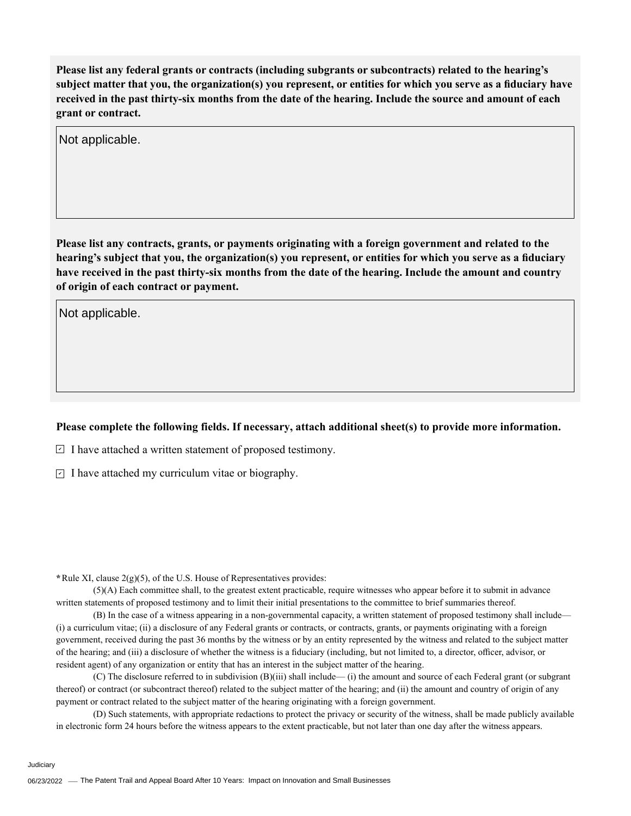**Please list any federal grants or contracts (including subgrants or subcontracts) related to the hearing's subject matter that you, the organization(s) you represent, or entities for which you serve as a fiduciary have received in the past thirty-six months from the date of the hearing. Include the source and amount of each grant or contract.** 

Not applicable.

**Please list any contracts, grants, or payments originating with a foreign government and related to the hearing's subject that you, the organization(s) you represent, or entities for which you serve as a fiduciary have received in the past thirty-six months from the date of the hearing. Include the amount and country of origin of each contract or payment.** 

Not applicable.

## **Please complete the following fields. If necessary, attach additional sheet(s) to provide more information.**

 $\exists$  I have attached a written statement of proposed testimony.

 $\subseteq$  I have attached my curriculum vitae or biography.

**\***Rule XI, clause 2(g)(5), of the U.S. House of Representatives provides:

(5)(A) Each committee shall, to the greatest extent practicable, require witnesses who appear before it to submit in advance written statements of proposed testimony and to limit their initial presentations to the committee to brief summaries thereof.

(B) In the case of a witness appearing in a non-governmental capacity, a written statement of proposed testimony shall include— (i) a curriculum vitae; (ii) a disclosure of any Federal grants or contracts, or contracts, grants, or payments originating with a foreign government, received during the past 36 months by the witness or by an entity represented by the witness and related to the subject matter of the hearing; and (iii) a disclosure of whether the witness is a fiduciary (including, but not limited to, a director, officer, advisor, or resident agent) of any organization or entity that has an interest in the subject matter of the hearing.

(C) The disclosure referred to in subdivision (B)(iii) shall include— (i) the amount and source of each Federal grant (or subgrant thereof) or contract (or subcontract thereof) related to the subject matter of the hearing; and (ii) the amount and country of origin of any payment or contract related to the subject matter of the hearing originating with a foreign government.

(D) Such statements, with appropriate redactions to protect the privacy or security of the witness, shall be made publicly available in electronic form 24 hours before the witness appears to the extent practicable, but not later than one day after the witness appears.

Judiciary